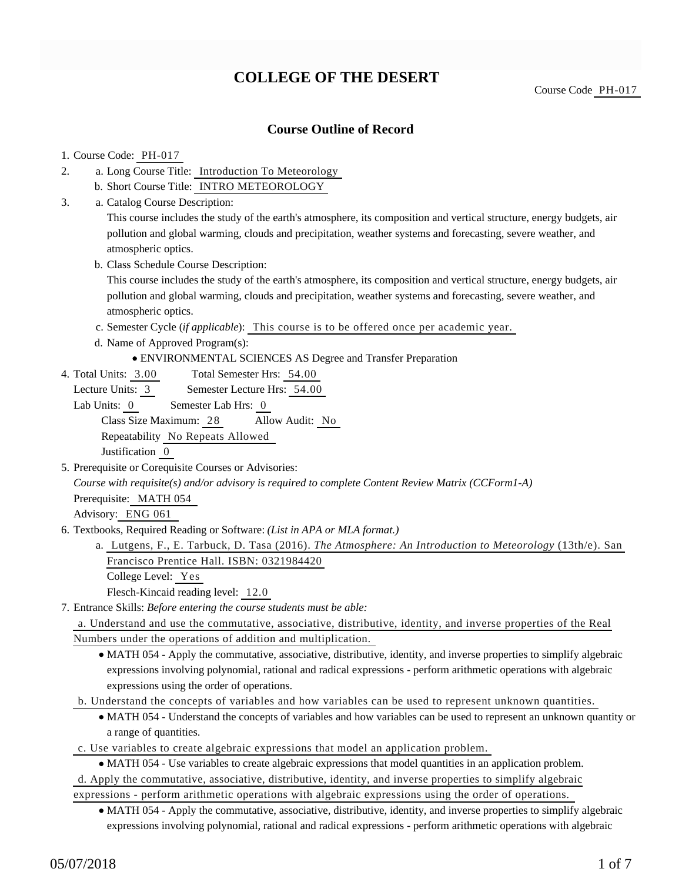# **COLLEGE OF THE DESERT**

Course Code PH-017

### **Course Outline of Record**

### 1. Course Code: PH-017

- a. Long Course Title: Introduction To Meteorology 2.
	- b. Short Course Title: INTRO METEOROLOGY
- Catalog Course Description: a. 3.

This course includes the study of the earth's atmosphere, its composition and vertical structure, energy budgets, air pollution and global warming, clouds and precipitation, weather systems and forecasting, severe weather, and atmospheric optics.

b. Class Schedule Course Description:

This course includes the study of the earth's atmosphere, its composition and vertical structure, energy budgets, air pollution and global warming, clouds and precipitation, weather systems and forecasting, severe weather, and atmospheric optics.

- c. Semester Cycle (*if applicable*): This course is to be offered once per academic year.
- d. Name of Approved Program(s):
	- ENVIRONMENTAL SCIENCES AS Degree and Transfer Preparation
- Total Semester Hrs: 54.00 4. Total Units: 3.00
	- Lecture Units: 3 Semester Lecture Hrs: 54.00
	- Lab Units: 0 Semester Lab Hrs: 0 Class Size Maximum: 28 Allow Audit: No Repeatability No Repeats Allowed Justification 0
- 5. Prerequisite or Corequisite Courses or Advisories:

*Course with requisite(s) and/or advisory is required to complete Content Review Matrix (CCForm1-A)* Prerequisite: MATH 054

Advisory: ENG 061

- 6. Textbooks, Required Reading or Software: (List in APA or MLA format.)
	- a. Lutgens, F., E. Tarbuck, D. Tasa (2016). *The Atmosphere: An Introduction to Meteorology* (13th/e). San Francisco Prentice Hall. ISBN: 0321984420

College Level: Yes

Flesch-Kincaid reading level: 12.0

Entrance Skills: *Before entering the course students must be able:* 7.

a. Understand and use the commutative, associative, distributive, identity, and inverse properties of the Real Numbers under the operations of addition and multiplication.

- MATH 054 Apply the commutative, associative, distributive, identity, and inverse properties to simplify algebraic expressions involving polynomial, rational and radical expressions - perform arithmetic operations with algebraic expressions using the order of operations.
- b. Understand the concepts of variables and how variables can be used to represent unknown quantities.
	- MATH 054 Understand the concepts of variables and how variables can be used to represent an unknown quantity or a range of quantities.
- c. Use variables to create algebraic expressions that model an application problem.
	- MATH 054 Use variables to create algebraic expressions that model quantities in an application problem.
- d. Apply the commutative, associative, distributive, identity, and inverse properties to simplify algebraic
- expressions perform arithmetic operations with algebraic expressions using the order of operations.
	- MATH 054 Apply the commutative, associative, distributive, identity, and inverse properties to simplify algebraic expressions involving polynomial, rational and radical expressions - perform arithmetic operations with algebraic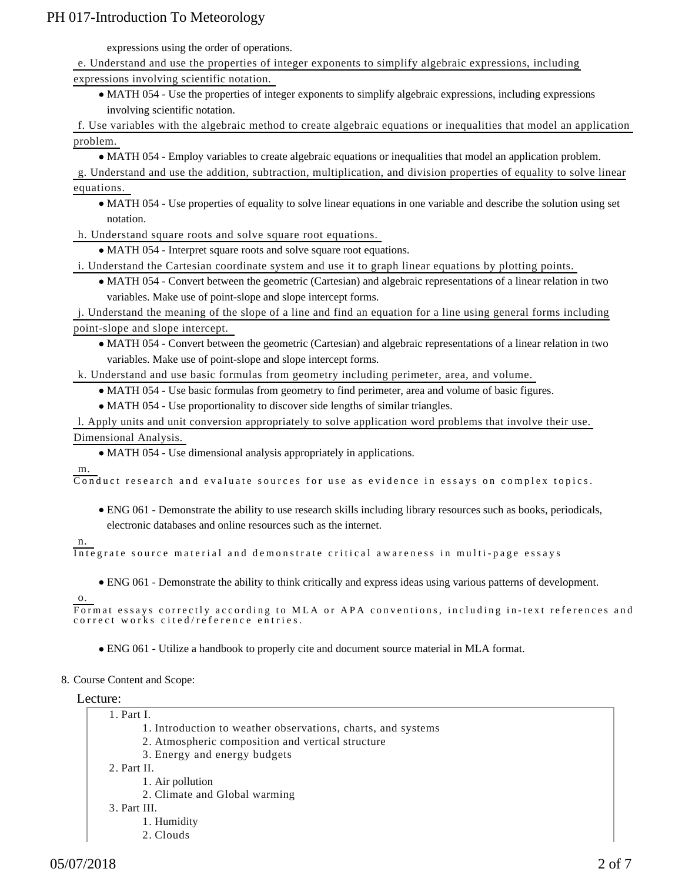expressions using the order of operations.

e. Understand and use the properties of integer exponents to simplify algebraic expressions, including expressions involving scientific notation.

MATH 054 - Use the properties of integer exponents to simplify algebraic expressions, including expressions involving scientific notation.

f. Use variables with the algebraic method to create algebraic equations or inequalities that model an application problem.

MATH 054 - Employ variables to create algebraic equations or inequalities that model an application problem.

g. Understand and use the addition, subtraction, multiplication, and division properties of equality to solve linear equations.

MATH 054 - Use properties of equality to solve linear equations in one variable and describe the solution using set notation.

h. Understand square roots and solve square root equations.

MATH 054 - Interpret square roots and solve square root equations.

i. Understand the Cartesian coordinate system and use it to graph linear equations by plotting points.

MATH 054 - Convert between the geometric (Cartesian) and algebraic representations of a linear relation in two variables. Make use of point-slope and slope intercept forms.

j. Understand the meaning of the slope of a line and find an equation for a line using general forms including point-slope and slope intercept.

MATH 054 - Convert between the geometric (Cartesian) and algebraic representations of a linear relation in two variables. Make use of point-slope and slope intercept forms.

k. Understand and use basic formulas from geometry including perimeter, area, and volume.

MATH 054 - Use basic formulas from geometry to find perimeter, area and volume of basic figures.

MATH 054 - Use proportionality to discover side lengths of similar triangles.

l. Apply units and unit conversion appropriately to solve application word problems that involve their use. Dimensional Analysis.

MATH 054 - Use dimensional analysis appropriately in applications.

m.

Conduct research and evaluate sources for use as evidence in essays on complex topics.

- ENG 061 Demonstrate the ability to use research skills including library resources such as books, periodicals, electronic databases and online resources such as the internet.
- n.

Integrate source material and demonstrate critical awareness in multi-page essays

ENG 061 - Demonstrate the ability to think critically and express ideas using various patterns of development.

o.

Format essays correctly according to MLA or APA conventions, including in-text references and correct works cited/reference entries.

- ENG 061 Utilize a handbook to properly cite and document source material in MLA format.
- 8. Course Content and Scope:

Lecture:

- Part I. 1.
	- 1. Introduction to weather observations, charts, and systems
	- 2. Atmospheric composition and vertical structure
	- 3. Energy and energy budgets

2. Part II.

- 1. Air pollution
- 2. Climate and Global warming
- Part III. 3.
	- 1. Humidity
	- 2. Clouds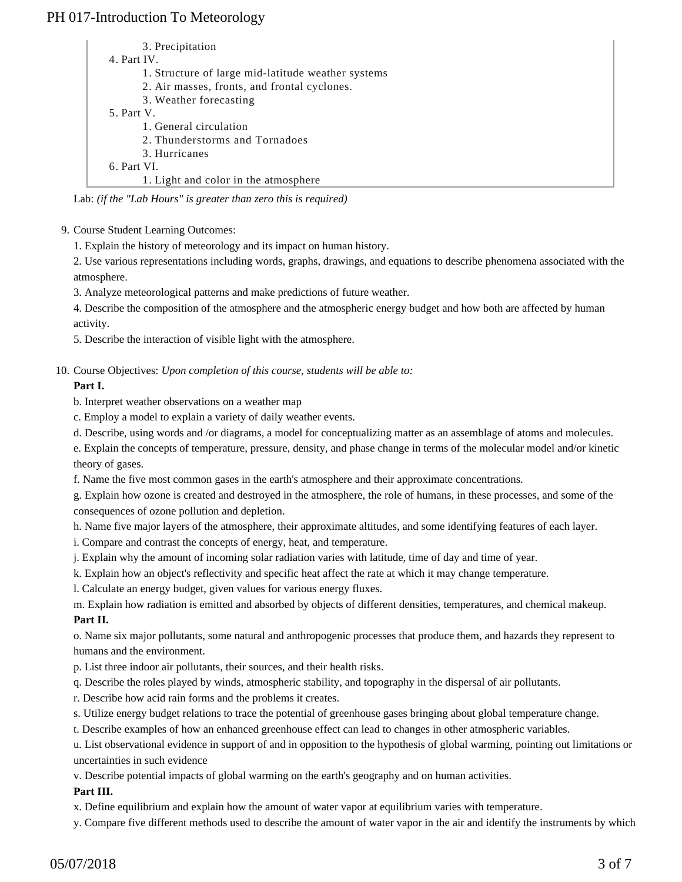| 3. Precipitation                                   |  |
|----------------------------------------------------|--|
| 4. Part IV.                                        |  |
| 1. Structure of large mid-latitude weather systems |  |
| 2. Air masses, fronts, and frontal cyclones.       |  |
| 3. Weather forecasting                             |  |
| 5. Part V.                                         |  |
| 1. General circulation                             |  |
| 2. Thunderstorms and Tornadoes                     |  |
| 3. Hurricanes                                      |  |
| 6. Part VI.                                        |  |
| 1. Light and color in the atmosphere               |  |

| Lab: (if the "Lab Hours" is greater than zero this is required) |  |  |  |
|-----------------------------------------------------------------|--|--|--|
|                                                                 |  |  |  |

9. Course Student Learning Outcomes:

1. Explain the history of meteorology and its impact on human history.

2. Use various representations including words, graphs, drawings, and equations to describe phenomena associated with the atmosphere.

3. Analyze meteorological patterns and make predictions of future weather.

4. Describe the composition of the atmosphere and the atmospheric energy budget and how both are affected by human activity.

5. Describe the interaction of visible light with the atmosphere.

10. Course Objectives: Upon completion of this course, students will be able to:

#### **Part I.**

b. Interpret weather observations on a weather map

c. Employ a model to explain a variety of daily weather events.

d. Describe, using words and /or diagrams, a model for conceptualizing matter as an assemblage of atoms and molecules.

e. Explain the concepts of temperature, pressure, density, and phase change in terms of the molecular model and/or kinetic theory of gases.

f. Name the five most common gases in the earth's atmosphere and their approximate concentrations.

g. Explain how ozone is created and destroyed in the atmosphere, the role of humans, in these processes, and some of the consequences of ozone pollution and depletion.

h. Name five major layers of the atmosphere, their approximate altitudes, and some identifying features of each layer.

- i. Compare and contrast the concepts of energy, heat, and temperature.
- j. Explain why the amount of incoming solar radiation varies with latitude, time of day and time of year.

k. Explain how an object's reflectivity and specific heat affect the rate at which it may change temperature.

l. Calculate an energy budget, given values for various energy fluxes.

m. Explain how radiation is emitted and absorbed by objects of different densities, temperatures, and chemical makeup. **Part II.**

o. Name six major pollutants, some natural and anthropogenic processes that produce them, and hazards they represent to humans and the environment.

p. List three indoor air pollutants, their sources, and their health risks.

q. Describe the roles played by winds, atmospheric stability, and topography in the dispersal of air pollutants.

r. Describe how acid rain forms and the problems it creates.

s. Utilize energy budget relations to trace the potential of greenhouse gases bringing about global temperature change.

t. Describe examples of how an enhanced greenhouse effect can lead to changes in other atmospheric variables.

u. List observational evidence in support of and in opposition to the hypothesis of global warming, pointing out limitations or uncertainties in such evidence

v. Describe potential impacts of global warming on the earth's geography and on human activities.

#### **Part III.**

x. Define equilibrium and explain how the amount of water vapor at equilibrium varies with temperature.

y. Compare five different methods used to describe the amount of water vapor in the air and identify the instruments by which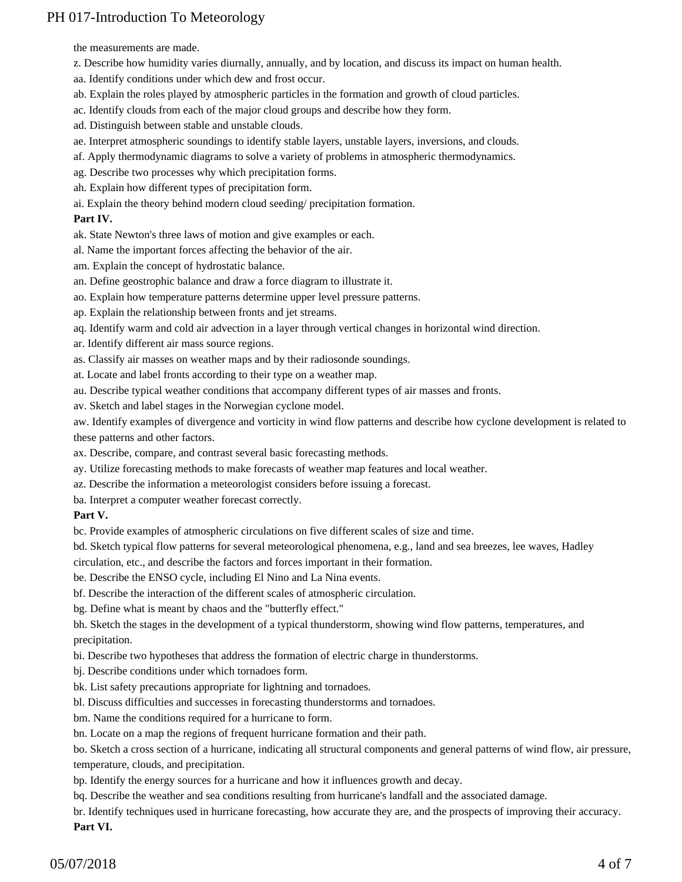the measurements are made.

- z. Describe how humidity varies diurnally, annually, and by location, and discuss its impact on human health.
- aa. Identify conditions under which dew and frost occur.
- ab. Explain the roles played by atmospheric particles in the formation and growth of cloud particles.
- ac. Identify clouds from each of the major cloud groups and describe how they form.
- ad. Distinguish between stable and unstable clouds.
- ae. Interpret atmospheric soundings to identify stable layers, unstable layers, inversions, and clouds.
- af. Apply thermodynamic diagrams to solve a variety of problems in atmospheric thermodynamics.
- ag. Describe two processes why which precipitation forms.
- ah. Explain how different types of precipitation form.
- ai. Explain the theory behind modern cloud seeding/ precipitation formation.

### **Part IV.**

ak. State Newton's three laws of motion and give examples or each.

- al. Name the important forces affecting the behavior of the air.
- am. Explain the concept of hydrostatic balance.
- an. Define geostrophic balance and draw a force diagram to illustrate it.
- ao. Explain how temperature patterns determine upper level pressure patterns.
- ap. Explain the relationship between fronts and jet streams.
- aq. Identify warm and cold air advection in a layer through vertical changes in horizontal wind direction.
- ar. Identify different air mass source regions.
- as. Classify air masses on weather maps and by their radiosonde soundings.
- at. Locate and label fronts according to their type on a weather map.
- au. Describe typical weather conditions that accompany different types of air masses and fronts.
- av. Sketch and label stages in the Norwegian cyclone model.
- aw. Identify examples of divergence and vorticity in wind flow patterns and describe how cyclone development is related to these patterns and other factors.
- ax. Describe, compare, and contrast several basic forecasting methods.
- ay. Utilize forecasting methods to make forecasts of weather map features and local weather.
- az. Describe the information a meteorologist considers before issuing a forecast.
- ba. Interpret a computer weather forecast correctly.

### **Part V.**

- bc. Provide examples of atmospheric circulations on five different scales of size and time.
- bd. Sketch typical flow patterns for several meteorological phenomena, e.g., land and sea breezes, lee waves, Hadley
- circulation, etc., and describe the factors and forces important in their formation.
- be. Describe the ENSO cycle, including El Nino and La Nina events.
- bf. Describe the interaction of the different scales of atmospheric circulation.
- bg. Define what is meant by chaos and the "butterfly effect."
- bh. Sketch the stages in the development of a typical thunderstorm, showing wind flow patterns, temperatures, and precipitation.
- bi. Describe two hypotheses that address the formation of electric charge in thunderstorms.
- bj. Describe conditions under which tornadoes form.
- bk. List safety precautions appropriate for lightning and tornadoes.
- bl. Discuss difficulties and successes in forecasting thunderstorms and tornadoes.
- bm. Name the conditions required for a hurricane to form.
- bn. Locate on a map the regions of frequent hurricane formation and their path.

bo. Sketch a cross section of a hurricane, indicating all structural components and general patterns of wind flow, air pressure, temperature, clouds, and precipitation.

bp. Identify the energy sources for a hurricane and how it influences growth and decay.

bq. Describe the weather and sea conditions resulting from hurricane's landfall and the associated damage.

br. Identify techniques used in hurricane forecasting, how accurate they are, and the prospects of improving their accuracy. **Part VI.**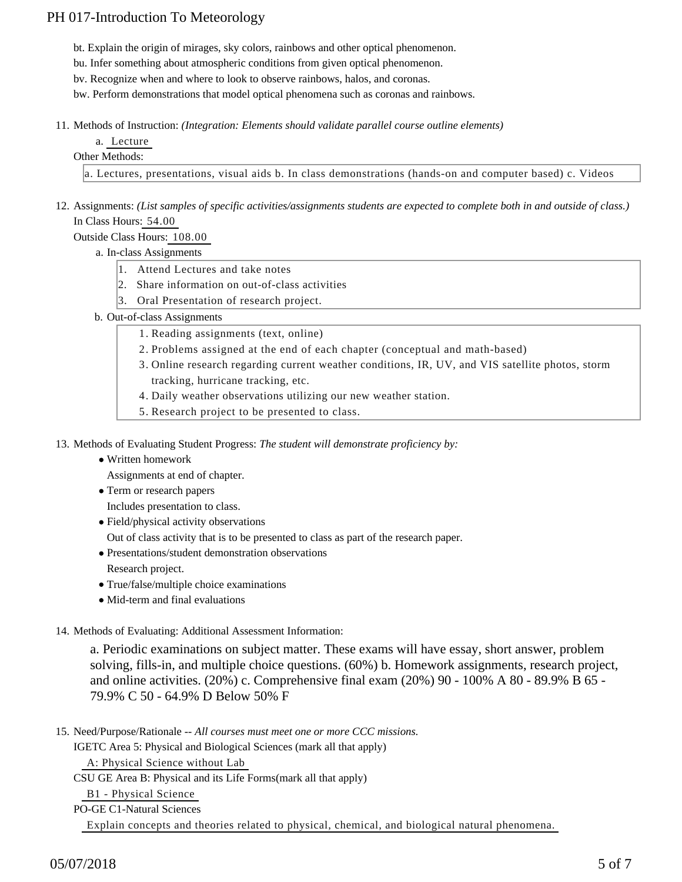bt. Explain the origin of mirages, sky colors, rainbows and other optical phenomenon.

bu. Infer something about atmospheric conditions from given optical phenomenon.

bv. Recognize when and where to look to observe rainbows, halos, and coronas.

bw. Perform demonstrations that model optical phenomena such as coronas and rainbows.

- 11. Methods of Instruction: *(Integration: Elements should validate parallel course outline elements)* 
	- a. Lecture
	- Other Methods:

a. Lectures, presentations, visual aids b. In class demonstrations (hands-on and computer based) c. Videos

12. Assignments: (List samples of specific activities/assignments students are expected to complete both in and outside of class.) In Class Hours: 54.00

Outside Class Hours: 108.00

- a. In-class Assignments
	- 1. Attend Lectures and take notes
	- 2. Share information on out-of-class activities
	- 3. Oral Presentation of research project.
- b. Out-of-class Assignments
	- 1. Reading assignments (text, online)
	- 2. Problems assigned at the end of each chapter (conceptual and math-based)
	- 3. Online research regarding current weather conditions, IR, UV, and VIS satellite photos, storm tracking, hurricane tracking, etc.
	- 4. Daily weather observations utilizing our new weather station.
	- 5. Research project to be presented to class.

13. Methods of Evaluating Student Progress: The student will demonstrate proficiency by:

Written homework

Assignments at end of chapter.

Term or research papers

Includes presentation to class.

Field/physical activity observations

Out of class activity that is to be presented to class as part of the research paper.

- Presentations/student demonstration observations Research project.
- True/false/multiple choice examinations
- Mid-term and final evaluations

#### 14. Methods of Evaluating: Additional Assessment Information:

a. Periodic examinations on subject matter. These exams will have essay, short answer, problem solving, fills-in, and multiple choice questions. (60%) b. Homework assignments, research project, and online activities. (20%) c. Comprehensive final exam (20%) 90 - 100% A 80 - 89.9% B 65 - 79.9% C 50 - 64.9% D Below 50% F

15. Need/Purpose/Rationale -- All courses must meet one or more CCC missions.

IGETC Area 5: Physical and Biological Sciences (mark all that apply)

A: Physical Science without Lab

CSU GE Area B: Physical and its Life Forms(mark all that apply)

B1 - Physical Science

PO-GE C1-Natural Sciences

Explain concepts and theories related to physical, chemical, and biological natural phenomena.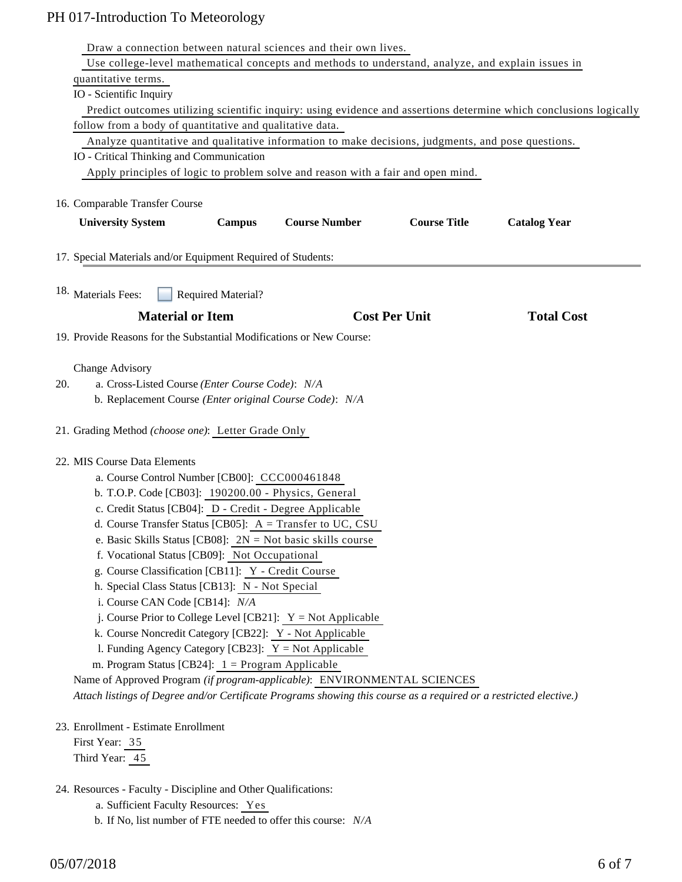| Draw a connection between natural sciences and their own lives.                                                    |                                |                     |                     |  |  |  |  |  |
|--------------------------------------------------------------------------------------------------------------------|--------------------------------|---------------------|---------------------|--|--|--|--|--|
| Use college-level mathematical concepts and methods to understand, analyze, and explain issues in                  |                                |                     |                     |  |  |  |  |  |
| quantitative terms.                                                                                                |                                |                     |                     |  |  |  |  |  |
| IO - Scientific Inquiry                                                                                            |                                |                     |                     |  |  |  |  |  |
| Predict outcomes utilizing scientific inquiry: using evidence and assertions determine which conclusions logically |                                |                     |                     |  |  |  |  |  |
| follow from a body of quantitative and qualitative data.                                                           |                                |                     |                     |  |  |  |  |  |
| Analyze quantitative and qualitative information to make decisions, judgments, and pose questions.                 |                                |                     |                     |  |  |  |  |  |
| IO - Critical Thinking and Communication                                                                           |                                |                     |                     |  |  |  |  |  |
| Apply principles of logic to problem solve and reason with a fair and open mind.                                   |                                |                     |                     |  |  |  |  |  |
| 16. Comparable Transfer Course                                                                                     |                                |                     |                     |  |  |  |  |  |
|                                                                                                                    | <b>Course Number</b>           | <b>Course Title</b> |                     |  |  |  |  |  |
| <b>University System</b><br><b>Campus</b>                                                                          |                                |                     | <b>Catalog Year</b> |  |  |  |  |  |
| 17. Special Materials and/or Equipment Required of Students:                                                       |                                |                     |                     |  |  |  |  |  |
| 18. Materials Fees:<br><b>Required Material?</b>                                                                   |                                |                     |                     |  |  |  |  |  |
| <b>Material or Item</b>                                                                                            | <b>Cost Per Unit</b>           |                     | <b>Total Cost</b>   |  |  |  |  |  |
| 19. Provide Reasons for the Substantial Modifications or New Course:                                               |                                |                     |                     |  |  |  |  |  |
|                                                                                                                    |                                |                     |                     |  |  |  |  |  |
| Change Advisory<br>20.<br>a. Cross-Listed Course (Enter Course Code): N/A                                          |                                |                     |                     |  |  |  |  |  |
|                                                                                                                    |                                |                     |                     |  |  |  |  |  |
| b. Replacement Course (Enter original Course Code): N/A                                                            |                                |                     |                     |  |  |  |  |  |
| 21. Grading Method (choose one): Letter Grade Only                                                                 |                                |                     |                     |  |  |  |  |  |
| 22. MIS Course Data Elements                                                                                       |                                |                     |                     |  |  |  |  |  |
|                                                                                                                    |                                |                     |                     |  |  |  |  |  |
| a. Course Control Number [CB00]: CCC000461848<br>b. T.O.P. Code [CB03]: 190200.00 - Physics, General               |                                |                     |                     |  |  |  |  |  |
| c. Credit Status [CB04]: D - Credit - Degree Applicable                                                            |                                |                     |                     |  |  |  |  |  |
|                                                                                                                    |                                |                     |                     |  |  |  |  |  |
| d. Course Transfer Status [CB05]: $A = Transfer to UC, CSU$                                                        |                                |                     |                     |  |  |  |  |  |
| e. Basic Skills Status [CB08]: $2N = Not basic skills course$<br>f. Vocational Status [CB09]: Not Occupational     |                                |                     |                     |  |  |  |  |  |
|                                                                                                                    |                                |                     |                     |  |  |  |  |  |
| g. Course Classification [CB11]: Y - Credit Course                                                                 |                                |                     |                     |  |  |  |  |  |
| h. Special Class Status [CB13]: N - Not Special                                                                    |                                |                     |                     |  |  |  |  |  |
|                                                                                                                    | i. Course CAN Code [CB14]: N/A |                     |                     |  |  |  |  |  |
| j. Course Prior to College Level [CB21]: $Y = Not$ Applicable                                                      |                                |                     |                     |  |  |  |  |  |
| k. Course Noncredit Category [CB22]: Y - Not Applicable<br>1. Funding Agency Category [CB23]: $Y = Not$ Applicable |                                |                     |                     |  |  |  |  |  |
| m. Program Status [CB24]: $1 =$ Program Applicable                                                                 |                                |                     |                     |  |  |  |  |  |
| Name of Approved Program (if program-applicable): ENVIRONMENTAL SCIENCES                                           |                                |                     |                     |  |  |  |  |  |
| Attach listings of Degree and/or Certificate Programs showing this course as a required or a restricted elective.) |                                |                     |                     |  |  |  |  |  |
|                                                                                                                    |                                |                     |                     |  |  |  |  |  |
| 23. Enrollment - Estimate Enrollment                                                                               |                                |                     |                     |  |  |  |  |  |
| First Year: 35                                                                                                     |                                |                     |                     |  |  |  |  |  |
| Third Year: 45                                                                                                     |                                |                     |                     |  |  |  |  |  |
| 24. Resources - Faculty - Discipline and Other Qualifications:                                                     |                                |                     |                     |  |  |  |  |  |
| a. Sufficient Faculty Resources: Yes                                                                               |                                |                     |                     |  |  |  |  |  |

b. If No, list number of FTE needed to offer this course: *N/A*